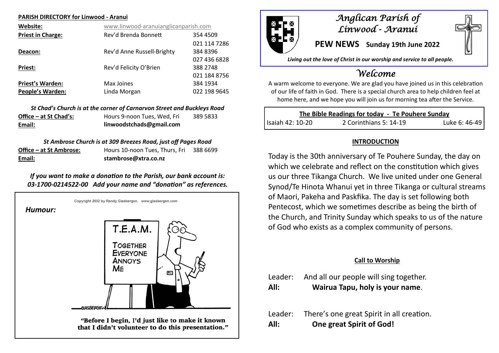#### **PARISH DIRECTORY for Linwood - Aranui**

| Website:                 | www.linwood-aranuianglicanparish.com |              |  |
|--------------------------|--------------------------------------|--------------|--|
| <b>Priest in Charge:</b> | Rev'd Brenda Bonnett                 | 354 4509     |  |
|                          |                                      | 021 114 7286 |  |
| Deacon:                  | Rev'd Anne Russell-Brighty           | 384 8396     |  |
|                          |                                      | 027 436 6828 |  |
| <b>Priest:</b>           | Rev'd Felicity O'Brien               | 388 2748     |  |
|                          |                                      | 021 184 8756 |  |
| <b>Priest's Warden:</b>  | Max Joines                           | 384 1934     |  |
| <b>People's Warden:</b>  | Linda Morgan                         | 022 198 9645 |  |

|                        | St Chad's Church is at the corner of Carnarvon Street and Buckleys Road |          |
|------------------------|-------------------------------------------------------------------------|----------|
| Office – at St Chad's: | Hours 9-noon Tues. Wed. Fri                                             | 389 5833 |
| Email:                 | linwoodstchads@gmail.com                                                |          |

#### *St Ambrose Church is at 309 Breezes Road, just off Pages Road*

| Email:                  | stambrose@xtra.co.nz           |          |  |
|-------------------------|--------------------------------|----------|--|
| Office – at St Ambrose: | Hours 10-noon Tues, Thurs, Fri | 388 6699 |  |

## *If you want to make a donation to the Parish, our bank account is: 03-1700-0214522-00 Add your name and "donation" as references.*

Copyright 2002 by Randy Glasbergen. www.glasbergen.com *Humour:*  $T.E.A.M.$ **TOGETHER** EVERYONE **ANNOYS** ME  $\overline{a}$ **GIASRERGI** "Before I begin, I'd just like to make it known that I didn't volunteer to do this presentation."



## *Anglican Parish of Linwood - Aranui*

**PEW NEWS Sunday 19th June 2022**

*Living out the love of Christ in our worship and service to all people.*

# *Welcome*

A warm welcome to everyone. We are glad you have joined us in this celebration of our life of faith in God. There is a special church area to help children feel at home here, and we hope you will join us for morning tea after the Service.

| The Bible Readings for today - Te Pouhere Sunday |                        |               |
|--------------------------------------------------|------------------------|---------------|
| l Isaiah 42: 10-20                               | 2 Corinthians 5: 14-19 | Luke 6: 46-49 |

### **INTRODUCTION**

Today is the 30th anniversary of Te Pouhere Sunday, the day on which we celebrate and reflect on the constitution which gives us our three Tikanga Church. We live united under one General Synod/Te Hinota Whanui yet in three Tikanga or cultural streams of Maori, Pakeha and Paskfika. The day is set following both Pentecost, which we sometimes describe as being the birth of the Church, and Trinity Sunday which speaks to us of the nature of God who exists as a complex community of persons.

#### **Call to Worship**

- Leader: And all our people will sing together.
- **All: Wairua Tapu, holy is your name**.
- Leader: There's one great Spirit in all creation. **All: One great Spirit of God!**